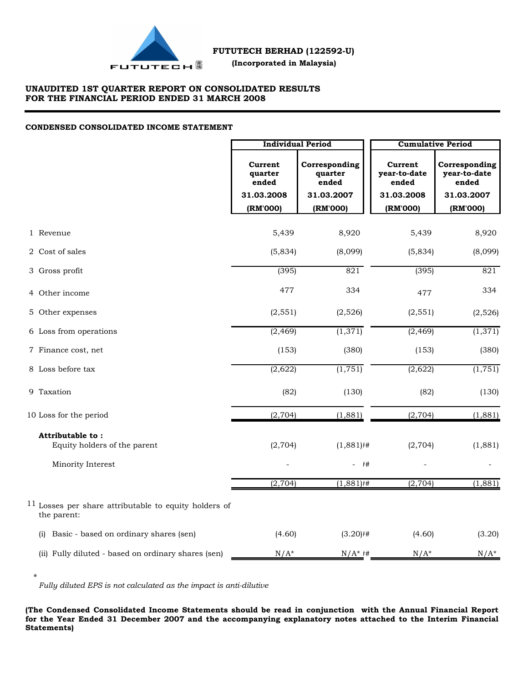

# **UNAUDITED 1ST QUARTER REPORT ON CONSOLIDATED RESULTS FOR THE FINANCIAL PERIOD ENDED 31 MARCH 2008**

#### **CONDENSED CONSOLIDATED INCOME STATEMENT**

|                                                                        | <b>Individual Period</b>    |                                   | <b>Cumulative Period</b>         |                                        |  |  |
|------------------------------------------------------------------------|-----------------------------|-----------------------------------|----------------------------------|----------------------------------------|--|--|
|                                                                        | Current<br>quarter<br>ended | Corresponding<br>quarter<br>ended | Current<br>year-to-date<br>ended | Corresponding<br>year-to-date<br>ended |  |  |
|                                                                        | 31.03.2008<br>(RM'000)      | 31.03.2007<br>(RM'000)            | 31.03.2008<br>(RM'000)           | 31.03.2007<br>(RM'000)                 |  |  |
|                                                                        |                             |                                   |                                  |                                        |  |  |
| 1 Revenue                                                              | 5,439                       | 8,920                             | 5,439                            | 8,920                                  |  |  |
| 2 Cost of sales                                                        | (5,834)                     | (8,099)                           | (5,834)                          | (8,099)                                |  |  |
| 3 Gross profit                                                         | (395)                       | 821                               | (395)                            | 821                                    |  |  |
| 4 Other income                                                         | 477                         | 334                               | 477                              | 334                                    |  |  |
| 5 Other expenses                                                       | (2, 551)                    | (2,526)                           | (2, 551)                         | (2,526)                                |  |  |
| 6 Loss from operations                                                 | (2, 469)                    | (1, 371)                          | (2, 469)                         | (1,371)                                |  |  |
| 7 Finance cost, net                                                    | (153)                       | (380)                             | (153)                            | (380)                                  |  |  |
| 8 Loss before tax                                                      | (2,622)                     | (1, 751)                          | (2,622)                          | $\overline{(1,751)}$                   |  |  |
| 9 Taxation                                                             | (82)                        | (130)                             | (82)                             | (130)                                  |  |  |
| 10 Loss for the period                                                 | (2,704)                     | (1,881)                           | (2,704)                          | (1,881)                                |  |  |
| Attributable to:                                                       |                             |                                   |                                  |                                        |  |  |
| Equity holders of the parent                                           | (2,704)                     | $(1,881)$ <sup>#</sup>            | (2,704)                          | (1,881)                                |  |  |
| Minority Interest                                                      |                             | #<br>$\overline{\phantom{0}}$     |                                  |                                        |  |  |
|                                                                        | (2, 704)                    | $(1,881)$ <sup>#</sup>            | (2, 704)                         | (1,881)                                |  |  |
| $11$ Losses per share attributable to equity holders of<br>the parent: |                             |                                   |                                  |                                        |  |  |
| (i) Basic - based on ordinary shares (sen)                             | (4.60)                      | $(3.20)$ #                        | (4.60)                           | (3.20)                                 |  |  |
| (ii) Fully diluted - based on ordinary shares (sen)                    | $N/A^*$                     | $N/A^*$ #                         | $N/A^*$                          | $N/A^*$                                |  |  |

*Fully diluted EPS is not calculated as the impact is anti-dilutive*

**\***

**(The Condensed Consolidated Income Statements should be read in conjunction with the Annual Financial Report for the Year Ended 31 December 2007 and the accompanying explanatory notes attached to the Interim Financial Statements)**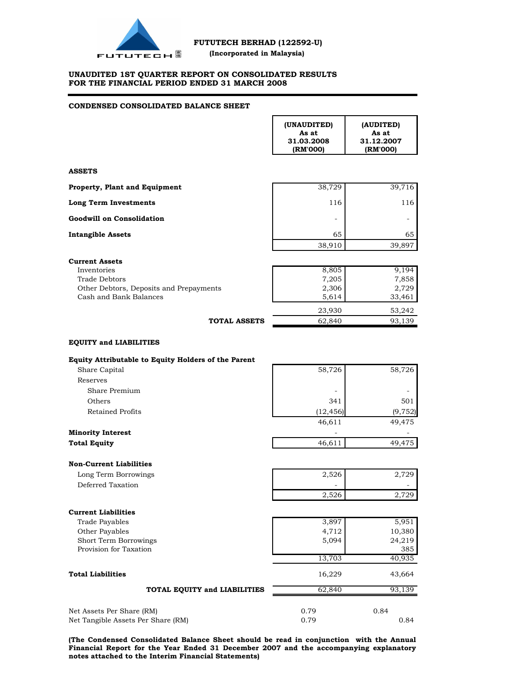

г

## **UNAUDITED 1ST QUARTER REPORT ON CONSOLIDATED RESULTS FOR THE FINANCIAL PERIOD ENDED 31 MARCH 2008**

# **CONDENSED CONSOLIDATED BALANCE SHEET**

|                                                                   | (UNAUDITED)<br>As at<br>31.03.2008<br>(RM'000) | (AUDITED)<br>As at<br>31.12.2007<br>(RM'000) |
|-------------------------------------------------------------------|------------------------------------------------|----------------------------------------------|
| <b>ASSETS</b>                                                     |                                                |                                              |
| Property, Plant and Equipment                                     | 38,729                                         | 39,716                                       |
| <b>Long Term Investments</b>                                      | 116                                            | 116                                          |
| <b>Goodwill on Consolidation</b>                                  | $\overline{\phantom{0}}$                       | $\overline{\phantom{a}}$                     |
| <b>Intangible Assets</b>                                          | 65                                             | 65                                           |
|                                                                   | 38,910                                         | 39,897                                       |
| <b>Current Assets</b>                                             |                                                |                                              |
| Inventories                                                       | 8,805                                          | 9,194                                        |
| Trade Debtors                                                     | 7,205                                          | 7,858                                        |
| Other Debtors, Deposits and Prepayments<br>Cash and Bank Balances | 2,306<br>5,614                                 | 2,729<br>33,461                              |
|                                                                   |                                                |                                              |
|                                                                   | 23,930                                         | 53,242                                       |
| <b>TOTAL ASSETS</b>                                               | 62,840                                         | 93,139                                       |
| <b>EQUITY and LIABILITIES</b>                                     |                                                |                                              |
| Equity Attributable to Equity Holders of the Parent               |                                                |                                              |
| Share Capital                                                     | 58,726                                         | 58,726                                       |
| Reserves                                                          |                                                |                                              |
| Share Premium                                                     |                                                |                                              |
| Others                                                            | 341                                            | 501                                          |
| Retained Profits                                                  | (12, 456)                                      | (9, 752)                                     |
|                                                                   | 46,611                                         | 49,475                                       |
| <b>Minority Interest</b>                                          |                                                |                                              |
| <b>Total Equity</b>                                               | 46,611                                         | 49,475                                       |
| <b>Non-Current Liabilities</b>                                    |                                                |                                              |
| Long Term Borrowings                                              | 2,526                                          | 2,729                                        |
| Deferred Taxation                                                 |                                                |                                              |
|                                                                   | 2,526                                          | 2,729                                        |
| <b>Current Liabilities</b>                                        |                                                |                                              |
| <b>Trade Payables</b>                                             | 3,897                                          | 5,951                                        |
| Other Payables                                                    | 4,712                                          | 10,380                                       |
| Short Term Borrowings                                             | 5,094                                          | 24,219                                       |
| Provision for Taxation                                            |                                                | 385                                          |
|                                                                   | 13,703                                         | 40,935                                       |
| <b>Total Liabilities</b>                                          | 16,229                                         | 43,664                                       |
| TOTAL EQUITY and LIABILITIES                                      | 62,840                                         | 93,139                                       |
|                                                                   |                                                |                                              |
| Net Assets Per Share (RM)<br>Net Tangible Assets Per Share (RM)   | 0.79<br>0.79                                   | 0.84<br>0.84                                 |

**(The Condensed Consolidated Balance Sheet should be read in conjunction with the Annual Financial Report for the Year Ended 31 December 2007 and the accompanying explanatory notes attached to the Interim Financial Statements)**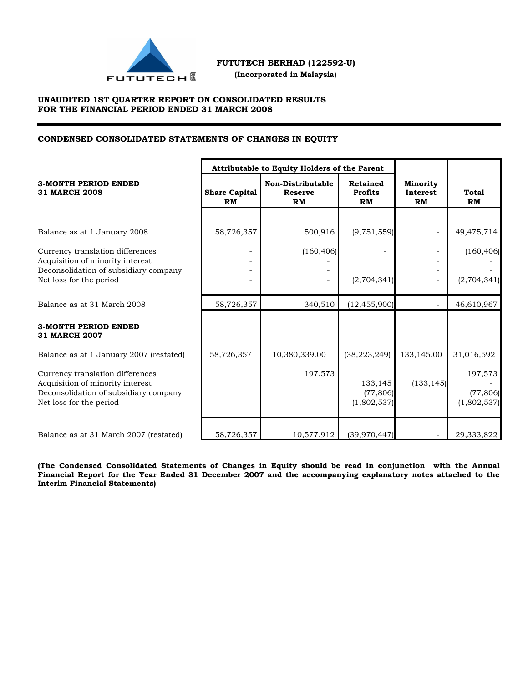

 **(Incorporated in Malaysia)**

# **UNAUDITED 1ST QUARTER REPORT ON CONSOLIDATED RESULTS FOR THE FINANCIAL PERIOD ENDED 31 MARCH 2008**

# **CONDENSED CONSOLIDATED STATEMENTS OF CHANGES IN EQUITY**

|                                                                                                                                                                                     |                            | Attributable to Equity Holders of the Parent     |                                                      |                                   |                                                   |
|-------------------------------------------------------------------------------------------------------------------------------------------------------------------------------------|----------------------------|--------------------------------------------------|------------------------------------------------------|-----------------------------------|---------------------------------------------------|
| <b>3-MONTH PERIOD ENDED</b><br><b>31 MARCH 2008</b>                                                                                                                                 | <b>Share Capital</b><br>RM | <b>Non-Distributable</b><br><b>Reserve</b><br>RM | <b>Retained</b><br><b>Profits</b><br><b>RM</b>       | <b>Minority</b><br>Interest<br>RM | Total<br><b>RM</b>                                |
|                                                                                                                                                                                     |                            |                                                  |                                                      |                                   |                                                   |
| Balance as at 1 January 2008<br>Currency translation differences<br>Acquisition of minority interest<br>Deconsolidation of subsidiary company<br>Net loss for the period            | 58,726,357                 | 500,916<br>(160, 406)                            | (9, 751, 559)<br>(2,704,341)                         |                                   | 49,475,714<br>(160, 406)<br>(2,704,341)           |
| Balance as at 31 March 2008                                                                                                                                                         | 58,726,357                 | 340,510                                          | (12, 455, 900)                                       | $\sim$                            | 46,610,967                                        |
| <b>3-MONTH PERIOD ENDED</b><br><b>31 MARCH 2007</b>                                                                                                                                 |                            |                                                  |                                                      |                                   |                                                   |
| Balance as at 1 January 2007 (restated)<br>Currency translation differences<br>Acquisition of minority interest<br>Deconsolidation of subsidiary company<br>Net loss for the period | 58,726,357                 | 10,380,339.00<br>197,573                         | (38, 223, 249)<br>133,145<br>(77,806)<br>(1,802,537) | 133,145.00<br>(133, 145)          | 31,016,592<br>197,573<br>(77, 806)<br>(1,802,537) |
| Balance as at 31 March 2007 (restated)                                                                                                                                              | 58,726,357                 | 10,577,912                                       | (39, 970, 447)                                       |                                   | 29,333,822                                        |

**(The Condensed Consolidated Statements of Changes in Equity should be read in conjunction with the Annual Financial Report for the Year Ended 31 December 2007 and the accompanying explanatory notes attached to the Interim Financial Statements)**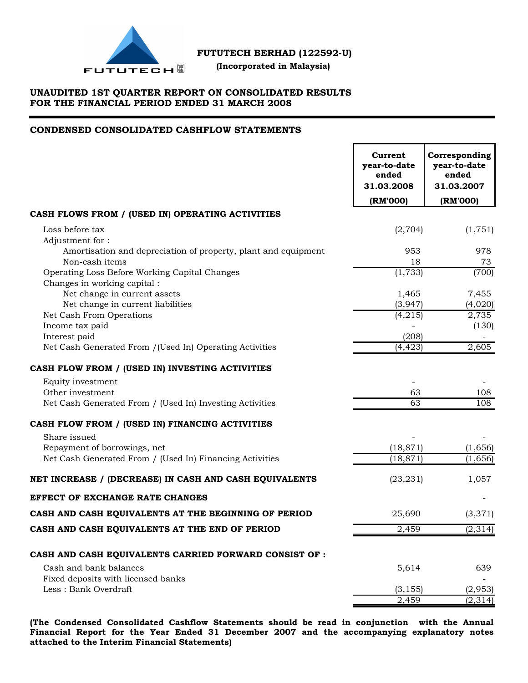

 **(Incorporated in Malaysia)**

# **UNAUDITED 1ST QUARTER REPORT ON CONSOLIDATED RESULTS FOR THE FINANCIAL PERIOD ENDED 31 MARCH 2008**

# **CONDENSED CONSOLIDATED CASHFLOW STATEMENTS**

|                                                                                                     | Current<br>year-to-date<br>ended<br>31.03.2008<br>(RM'000) | Corresponding<br>year-to-date<br>ended<br>31.03.2007<br>(RM'000) |
|-----------------------------------------------------------------------------------------------------|------------------------------------------------------------|------------------------------------------------------------------|
| CASH FLOWS FROM / (USED IN) OPERATING ACTIVITIES                                                    |                                                            |                                                                  |
| Loss before tax                                                                                     | (2,704)                                                    | (1,751)                                                          |
| Adjustment for:<br>Amortisation and depreciation of property, plant and equipment<br>Non-cash items | 953<br>18                                                  | 978<br>73                                                        |
| Operating Loss Before Working Capital Changes<br>Changes in working capital:                        | (1, 733)                                                   | (700)                                                            |
| Net change in current assets                                                                        | 1,465                                                      | 7,455                                                            |
| Net change in current liabilities<br>Net Cash From Operations                                       | (3,947)<br>(4,215)                                         | (4,020)<br>2,735                                                 |
| Income tax paid                                                                                     |                                                            | (130)                                                            |
| Interest paid                                                                                       | (208)                                                      |                                                                  |
| Net Cash Generated From /(Used In) Operating Activities                                             | (4, 423)                                                   | 2,605                                                            |
| CASH FLOW FROM / (USED IN) INVESTING ACTIVITIES                                                     |                                                            |                                                                  |
| Equity investment                                                                                   |                                                            |                                                                  |
| Other investment                                                                                    | 63                                                         | 108                                                              |
| Net Cash Generated From / (Used In) Investing Activities                                            | 63                                                         | 108                                                              |
| CASH FLOW FROM / (USED IN) FINANCING ACTIVITIES                                                     |                                                            |                                                                  |
| Share issued                                                                                        |                                                            |                                                                  |
| Repayment of borrowings, net                                                                        | (18, 871)                                                  | (1,656)                                                          |
| Net Cash Generated From / (Used In) Financing Activities                                            | (18, 871)                                                  | (1,656)                                                          |
| NET INCREASE / (DECREASE) IN CASH AND CASH EQUIVALENTS                                              | (23, 231)                                                  | 1,057                                                            |
| <b>EFFECT OF EXCHANGE RATE CHANGES</b>                                                              |                                                            |                                                                  |
| CASH AND CASH EQUIVALENTS AT THE BEGINNING OF PERIOD                                                | 25,690                                                     | (3, 371)                                                         |
| CASH AND CASH EQUIVALENTS AT THE END OF PERIOD                                                      | 2,459                                                      | (2, 314)                                                         |
| CASH AND CASH EQUIVALENTS CARRIED FORWARD CONSIST OF :                                              |                                                            |                                                                  |
| Cash and bank balances                                                                              | 5,614                                                      | 639                                                              |
| Fixed deposits with licensed banks                                                                  |                                                            |                                                                  |
| Less: Bank Overdraft                                                                                | (3, 155)                                                   | (2,953)                                                          |
|                                                                                                     | 2,459                                                      | (2, 314)                                                         |

**(The Condensed Consolidated Cashflow Statements should be read in conjunction with the Annual Financial Report for the Year Ended 31 December 2007 and the accompanying explanatory notes attached to the Interim Financial Statements)**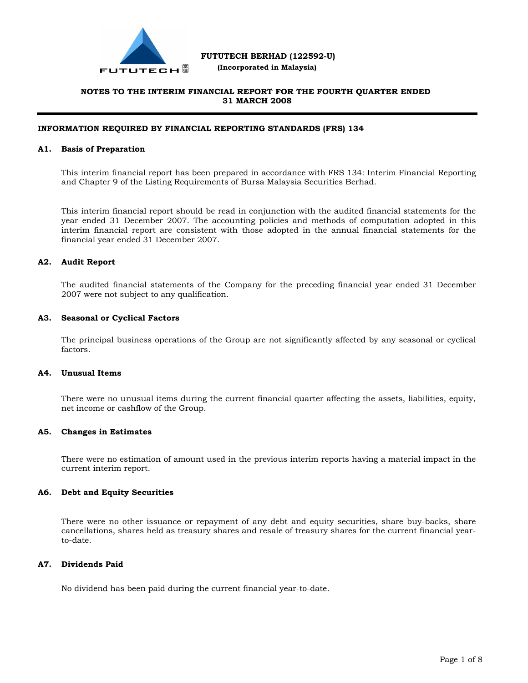

 **(Incorporated in Malaysia)**

# **NOTES TO THE INTERIM FINANCIAL REPORT FOR THE FOURTH QUARTER ENDED 31 MARCH 2008**

## **INFORMATION REQUIRED BY FINANCIAL REPORTING STANDARDS (FRS) 134**

#### **A1. Basis of Preparation**

This interim financial report has been prepared in accordance with FRS 134: Interim Financial Reporting and Chapter 9 of the Listing Requirements of Bursa Malaysia Securities Berhad.

This interim financial report should be read in conjunction with the audited financial statements for the year ended 31 December 2007. The accounting policies and methods of computation adopted in this interim financial report are consistent with those adopted in the annual financial statements for the financial year ended 31 December 2007.

## **A2. Audit Report**

The audited financial statements of the Company for the preceding financial year ended 31 December 2007 were not subject to any qualification.

#### **A3. Seasonal or Cyclical Factors**

The principal business operations of the Group are not significantly affected by any seasonal or cyclical factors.

#### **A4. Unusual Items**

There were no unusual items during the current financial quarter affecting the assets, liabilities, equity, net income or cashflow of the Group.

## **A5. Changes in Estimates**

There were no estimation of amount used in the previous interim reports having a material impact in the current interim report.

#### **A6. Debt and Equity Securities**

There were no other issuance or repayment of any debt and equity securities, share buy-backs, share cancellations, shares held as treasury shares and resale of treasury shares for the current financial yearto-date.

# **A7. Dividends Paid**

No dividend has been paid during the current financial year-to-date.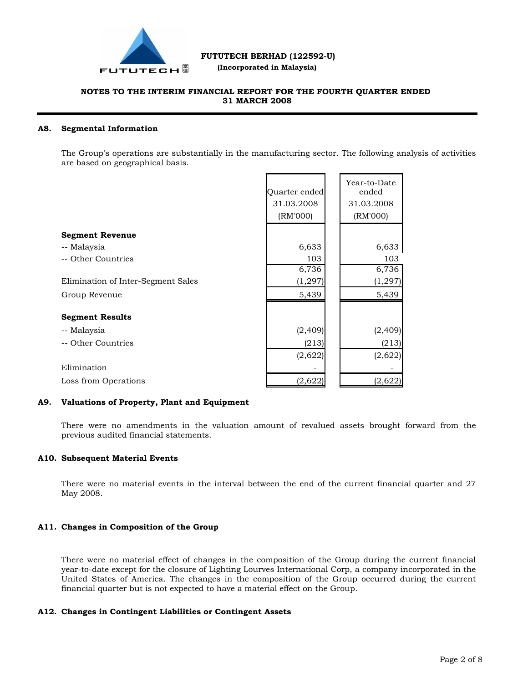

 **(Incorporated in Malaysia)**

# **NOTES TO THE INTERIM FINANCIAL REPORT FOR THE FOURTH QUARTER ENDED 31 MARCH 2008**

#### **A8. Segmental Information**

The Group's operations are substantially in the manufacturing sector. The following analysis of activities are based on geographical basis.

|                                    | Quarter ended<br>31.03.2008<br>(RM'000) | Year-to-Date<br>ended<br>31.03.2008<br>(RM'000) |
|------------------------------------|-----------------------------------------|-------------------------------------------------|
| <b>Segment Revenue</b>             |                                         |                                                 |
| -- Malaysia                        | 6,633                                   | 6,633                                           |
| -- Other Countries                 | 103                                     | 103                                             |
|                                    | 6,736                                   | 6,736                                           |
| Elimination of Inter-Segment Sales | (1, 297)                                | (1, 297)                                        |
| Group Revenue                      | 5,439                                   | 5,439                                           |
| <b>Segment Results</b>             |                                         |                                                 |
| -- Malaysia                        | (2, 409)                                | (2, 409)                                        |
| -- Other Countries                 | (213)                                   | (213)                                           |
|                                    | (2,622)                                 | (2,622)                                         |
| Elimination                        |                                         |                                                 |
| Loss from Operations               | (2,622)                                 | (2,622)                                         |

## **A9. Valuations of Property, Plant and Equipment**

There were no amendments in the valuation amount of revalued assets brought forward from the previous audited financial statements.

## **A10. Subsequent Material Events**

There were no material events in the interval between the end of the current financial quarter and 27 May 2008.

# **A11. Changes in Composition of the Group**

There were no material effect of changes in the composition of the Group during the current financial year-to-date except for the closure of Lighting Lourves International Corp, a company incorporated in the United States of America. The changes in the composition of the Group occurred during the current financial quarter but is not expected to have a material effect on the Group.

# **A12. Changes in Contingent Liabilities or Contingent Assets**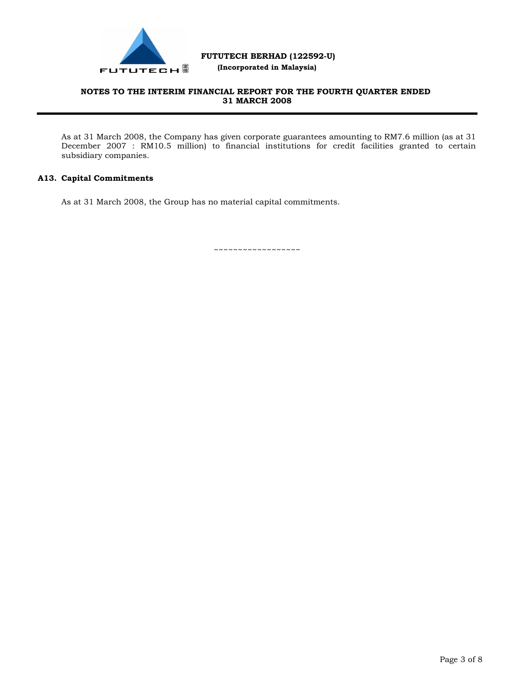

 **(Incorporated in Malaysia)**

# **NOTES TO THE INTERIM FINANCIAL REPORT FOR THE FOURTH QUARTER ENDED 31 MARCH 2008**

As at 31 March 2008, the Company has given corporate guarantees amounting to RM7.6 million (as at 31 December 2007 : RM10.5 million) to financial institutions for credit facilities granted to certain subsidiary companies.

# **A13. Capital Commitments**

As at 31 March 2008, the Group has no material capital commitments.

~~~~~~~~~~~~~~~~~~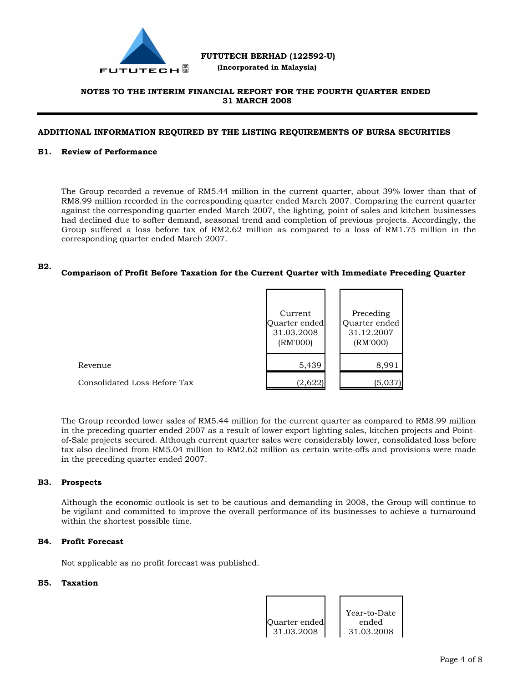

 **(Incorporated in Malaysia)**

# **NOTES TO THE INTERIM FINANCIAL REPORT FOR THE FOURTH QUARTER ENDED 31 MARCH 2008**

## **ADDITIONAL INFORMATION REQUIRED BY THE LISTING REQUIREMENTS OF BURSA SECURITIES**

## **B1. Review of Performance**

The Group recorded a revenue of RM5.44 million in the current quarter, about 39% lower than that of RM8.99 million recorded in the corresponding quarter ended March 2007. Comparing the current quarter against the corresponding quarter ended March 2007, the lighting, point of sales and kitchen businesses had declined due to softer demand, seasonal trend and completion of previous projects. Accordingly, the Group suffered a loss before tax of RM2.62 million as compared to a loss of RM1.75 million in the corresponding quarter ended March 2007.

#### **B2. Comparison of Profit Before Taxation for the Current Quarter with Immediate Preceding Quarter**

|                              | Current<br>Quarter ended<br>31.03.2008<br>(RM'000) | Preceding<br>Quarter ended<br>31.12.2007<br>(RM'000) |
|------------------------------|----------------------------------------------------|------------------------------------------------------|
| Revenue                      | 5,439                                              | 8,991                                                |
| Consolidated Loss Before Tax | (2,622)                                            | (5,037)                                              |

The Group recorded lower sales of RM5.44 million for the current quarter as compared to RM8.99 million in the preceding quarter ended 2007 as a result of lower export lighting sales, kitchen projects and Pointof-Sale projects secured. Although current quarter sales were considerably lower, consolidated loss before tax also declined from RM5.04 million to RM2.62 million as certain write-offs and provisions were made in the preceding quarter ended 2007.

#### **B3. Prospects**

Although the economic outlook is set to be cautious and demanding in 2008, the Group will continue to be vigilant and committed to improve the overall performance of its businesses to achieve a turnaround within the shortest possible time.

## **B4. Profit Forecast**

Not applicable as no profit forecast was published.

# **B5. Taxation**

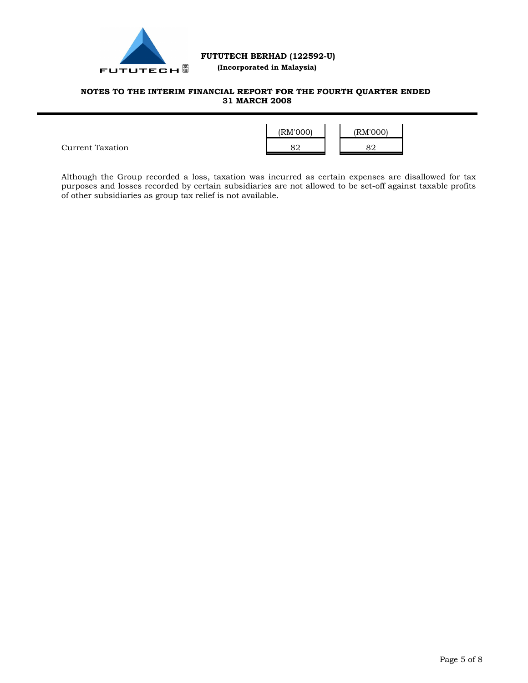

# **(Incorporated in Malaysia)**

# **NOTES TO THE INTERIM FINANCIAL REPORT FOR THE FOURTH QUARTER ENDED 31 MARCH 2008**



Although the Group recorded a loss, taxation was incurred as certain expenses are disallowed for tax purposes and losses recorded by certain subsidiaries are not allowed to be set-off against taxable profits of other subsidiaries as group tax relief is not available.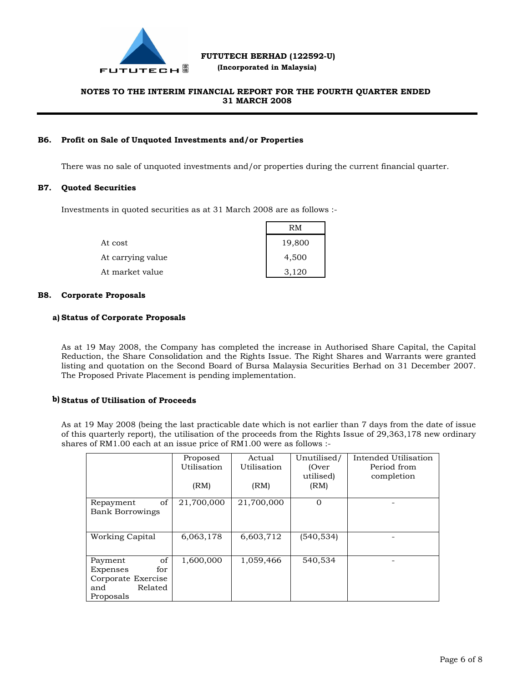

 **(Incorporated in Malaysia)**

# **NOTES TO THE INTERIM FINANCIAL REPORT FOR THE FOURTH QUARTER ENDED 31 MARCH 2008**

# **B6. Profit on Sale of Unquoted Investments and/or Properties**

There was no sale of unquoted investments and/or properties during the current financial quarter.

## **B7. Quoted Securities**

Investments in quoted securities as at 31 March 2008 are as follows :-

|                   | RM     |
|-------------------|--------|
| At cost           | 19,800 |
| At carrying value | 4,500  |
| At market value   | 3.120  |

## **B8. Corporate Proposals**

## **a) Status of Corporate Proposals**

As at 19 May 2008, the Company has completed the increase in Authorised Share Capital, the Capital Reduction, the Share Consolidation and the Rights Issue. The Right Shares and Warrants were granted listing and quotation on the Second Board of Bursa Malaysia Securities Berhad on 31 December 2007. The Proposed Private Placement is pending implementation.

## **b) Status of Utilisation of Proceeds**

As at 19 May 2008 (being the last practicable date which is not earlier than 7 days from the date of issue of this quarterly report), the utilisation of the proceeds from the Rights Issue of 29,363,178 new ordinary shares of RM1.00 each at an issue price of RM1.00 were as follows :-

|                        | Proposed    | Actual      | Unutilised/ | Intended Utilisation |
|------------------------|-------------|-------------|-------------|----------------------|
|                        | Utilisation | Utilisation | (Over       | Period from          |
|                        |             |             | utilised)   | completion           |
|                        | (RM)        | (RM)        | (RM)        |                      |
|                        |             |             |             |                      |
| of<br>Repayment        | 21,700,000  | 21,700,000  | $\Omega$    |                      |
| <b>Bank Borrowings</b> |             |             |             |                      |
|                        |             |             |             |                      |
|                        |             |             |             |                      |
| <b>Working Capital</b> | 6,063,178   | 6,603,712   | (540, 534)  |                      |
|                        |             |             |             |                      |
|                        |             |             |             |                      |
| of<br>Payment          | 1,600,000   | 1,059,466   | 540,534     |                      |
| Expenses<br>for        |             |             |             |                      |
| Corporate Exercise     |             |             |             |                      |
| Related<br>and         |             |             |             |                      |
| Proposals              |             |             |             |                      |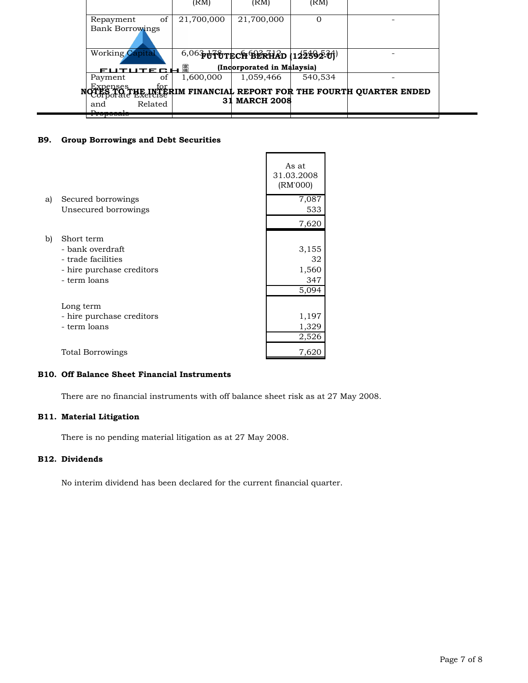|                        | (RM)       | (RM)                                  | (RM)    |                                                                           |  |
|------------------------|------------|---------------------------------------|---------|---------------------------------------------------------------------------|--|
| of<br>Repayment        | 21,700,000 | 21,700,000                            | Ω       |                                                                           |  |
| <b>Bank Borrowings</b> |            |                                       |         |                                                                           |  |
|                        |            |                                       |         |                                                                           |  |
| <b>Working Capital</b> |            | $^{6,06}$ PUTUTECH BERHAD (122592-01) |         |                                                                           |  |
| FUTUTE GH              | 属          | (Incorporated in Malaysia)            |         |                                                                           |  |
| οf<br>Payment          | 1,600,000  | 1,059,466                             | 540,534 |                                                                           |  |
|                        |            |                                       |         | Expenses<br>Tes of the Information of REPORT FOR THE FOURTH QUARTER ENDED |  |
|                        | 31         | <b>MARCH 2008</b>                     |         |                                                                           |  |
| Related<br>and         |            |                                       |         |                                                                           |  |
| <del>110posais</del>   |            |                                       |         |                                                                           |  |

# **B9. Group Borrowings and Debt Securities**

|    |                           | As at<br>31.03.2008<br>(RM'000) |
|----|---------------------------|---------------------------------|
| a) | Secured borrowings        | 7,087                           |
|    | Unsecured borrowings      | 533                             |
|    |                           | 7,620                           |
| b) | Short term                |                                 |
|    | - bank overdraft          | 3,155                           |
|    | - trade facilities        | 32                              |
|    | - hire purchase creditors | 1,560                           |
|    | - term loans              | 347                             |
|    |                           | 5,094                           |
|    | Long term                 |                                 |
|    | - hire purchase creditors | 1,197                           |
|    | - term loans              | 1,329                           |
|    |                           | 2,526                           |
|    | Total Borrowings          | 7,620                           |

# **B10. Off Balance Sheet Financial Instruments**

There are no financial instruments with off balance sheet risk as at 27 May 2008.

# **B11. Material Litigation**

There is no pending material litigation as at 27 May 2008.

# **B12. Dividends**

No interim dividend has been declared for the current financial quarter.